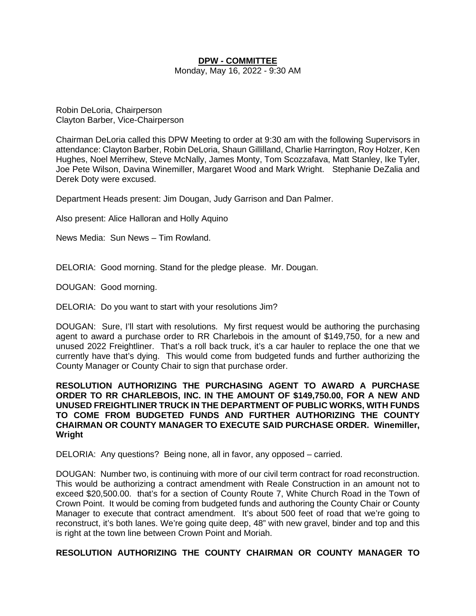## **DPW - COMMITTEE**

Monday, May 16, 2022 - 9:30 AM

Robin DeLoria, Chairperson Clayton Barber, Vice-Chairperson

Chairman DeLoria called this DPW Meeting to order at 9:30 am with the following Supervisors in attendance: Clayton Barber, Robin DeLoria, Shaun Gillilland, Charlie Harrington, Roy Holzer, Ken Hughes, Noel Merrihew, Steve McNally, James Monty, Tom Scozzafava, Matt Stanley, Ike Tyler, Joe Pete Wilson, Davina Winemiller, Margaret Wood and Mark Wright. Stephanie DeZalia and Derek Doty were excused.

Department Heads present: Jim Dougan, Judy Garrison and Dan Palmer.

Also present: Alice Halloran and Holly Aquino

News Media: Sun News – Tim Rowland.

DELORIA: Good morning. Stand for the pledge please. Mr. Dougan.

DOUGAN: Good morning.

DELORIA: Do you want to start with your resolutions Jim?

DOUGAN: Sure, I'll start with resolutions. My first request would be authoring the purchasing agent to award a purchase order to RR Charlebois in the amount of \$149,750, for a new and unused 2022 Freightliner. That's a roll back truck, it's a car hauler to replace the one that we currently have that's dying. This would come from budgeted funds and further authorizing the County Manager or County Chair to sign that purchase order.

**RESOLUTION AUTHORIZING THE PURCHASING AGENT TO AWARD A PURCHASE ORDER TO RR CHARLEBOIS, INC. IN THE AMOUNT OF \$149,750.00, FOR A NEW AND UNUSED FREIGHTLINER TRUCK IN THE DEPARTMENT OF PUBLIC WORKS, WITH FUNDS TO COME FROM BUDGETED FUNDS AND FURTHER AUTHORIZING THE COUNTY CHAIRMAN OR COUNTY MANAGER TO EXECUTE SAID PURCHASE ORDER. Winemiller, Wright**

DELORIA: Any questions? Being none, all in favor, any opposed – carried.

DOUGAN: Number two, is continuing with more of our civil term contract for road reconstruction. This would be authorizing a contract amendment with Reale Construction in an amount not to exceed \$20,500.00. that's for a section of County Route 7, White Church Road in the Town of Crown Point. It would be coming from budgeted funds and authoring the County Chair or County Manager to execute that contract amendment. It's about 500 feet of road that we're going to reconstruct, it's both lanes. We're going quite deep, 48" with new gravel, binder and top and this is right at the town line between Crown Point and Moriah.

**RESOLUTION AUTHORIZING THE COUNTY CHAIRMAN OR COUNTY MANAGER TO**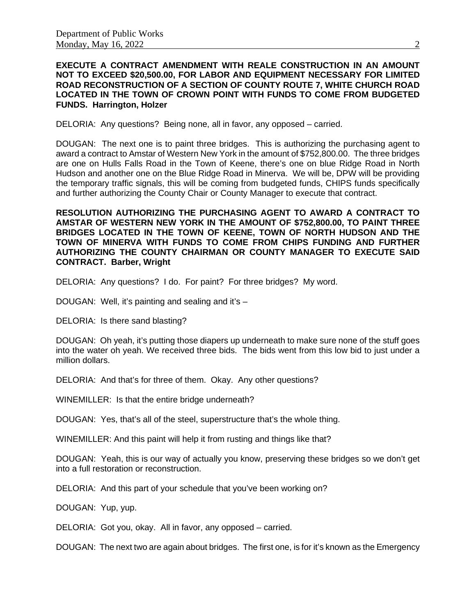## **EXECUTE A CONTRACT AMENDMENT WITH REALE CONSTRUCTION IN AN AMOUNT NOT TO EXCEED \$20,500.00, FOR LABOR AND EQUIPMENT NECESSARY FOR LIMITED ROAD RECONSTRUCTION OF A SECTION OF COUNTY ROUTE 7, WHITE CHURCH ROAD LOCATED IN THE TOWN OF CROWN POINT WITH FUNDS TO COME FROM BUDGETED FUNDS. Harrington, Holzer**

DELORIA: Any questions? Being none, all in favor, any opposed – carried.

DOUGAN: The next one is to paint three bridges. This is authorizing the purchasing agent to award a contract to Amstar of Western New York in the amount of \$752,800.00. The three bridges are one on Hulls Falls Road in the Town of Keene, there's one on blue Ridge Road in North Hudson and another one on the Blue Ridge Road in Minerva. We will be, DPW will be providing the temporary traffic signals, this will be coming from budgeted funds, CHIPS funds specifically and further authorizing the County Chair or County Manager to execute that contract.

**RESOLUTION AUTHORIZING THE PURCHASING AGENT TO AWARD A CONTRACT TO AMSTAR OF WESTERN NEW YORK IN THE AMOUNT OF \$752,800.00, TO PAINT THREE BRIDGES LOCATED IN THE TOWN OF KEENE, TOWN OF NORTH HUDSON AND THE TOWN OF MINERVA WITH FUNDS TO COME FROM CHIPS FUNDING AND FURTHER AUTHORIZING THE COUNTY CHAIRMAN OR COUNTY MANAGER TO EXECUTE SAID CONTRACT. Barber, Wright**

DELORIA: Any questions? I do. For paint? For three bridges? My word.

DOUGAN: Well, it's painting and sealing and it's –

DELORIA: Is there sand blasting?

DOUGAN: Oh yeah, it's putting those diapers up underneath to make sure none of the stuff goes into the water oh yeah. We received three bids. The bids went from this low bid to just under a million dollars.

DELORIA: And that's for three of them. Okay. Any other questions?

WINEMILLER: Is that the entire bridge underneath?

DOUGAN: Yes, that's all of the steel, superstructure that's the whole thing.

WINEMILLER: And this paint will help it from rusting and things like that?

DOUGAN: Yeah, this is our way of actually you know, preserving these bridges so we don't get into a full restoration or reconstruction.

DELORIA: And this part of your schedule that you've been working on?

DOUGAN: Yup, yup.

DELORIA: Got you, okay. All in favor, any opposed – carried.

DOUGAN: The next two are again about bridges. The first one, is for it's known as the Emergency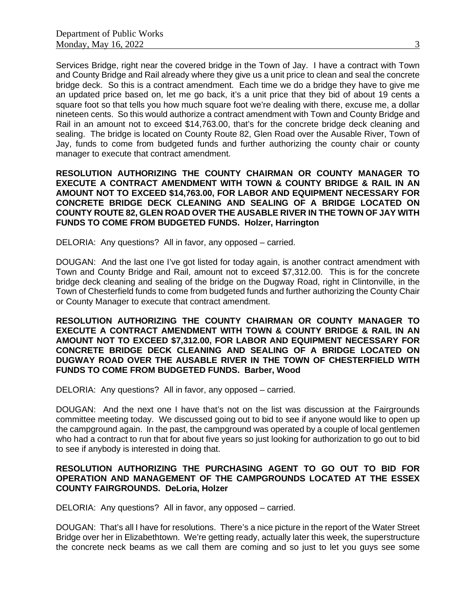Services Bridge, right near the covered bridge in the Town of Jay. I have a contract with Town and County Bridge and Rail already where they give us a unit price to clean and seal the concrete bridge deck. So this is a contract amendment. Each time we do a bridge they have to give me an updated price based on, let me go back, it's a unit price that they bid of about 19 cents a square foot so that tells you how much square foot we're dealing with there, excuse me, a dollar nineteen cents. So this would authorize a contract amendment with Town and County Bridge and Rail in an amount not to exceed \$14,763.00, that's for the concrete bridge deck cleaning and sealing. The bridge is located on County Route 82, Glen Road over the Ausable River, Town of Jay, funds to come from budgeted funds and further authorizing the county chair or county manager to execute that contract amendment.

**RESOLUTION AUTHORIZING THE COUNTY CHAIRMAN OR COUNTY MANAGER TO EXECUTE A CONTRACT AMENDMENT WITH TOWN & COUNTY BRIDGE & RAIL IN AN AMOUNT NOT TO EXCEED \$14,763.00, FOR LABOR AND EQUIPMENT NECESSARY FOR CONCRETE BRIDGE DECK CLEANING AND SEALING OF A BRIDGE LOCATED ON COUNTY ROUTE 82, GLEN ROAD OVER THE AUSABLE RIVER IN THE TOWN OF JAY WITH FUNDS TO COME FROM BUDGETED FUNDS. Holzer, Harrington**

DELORIA: Any questions? All in favor, any opposed – carried.

DOUGAN: And the last one I've got listed for today again, is another contract amendment with Town and County Bridge and Rail, amount not to exceed \$7,312.00. This is for the concrete bridge deck cleaning and sealing of the bridge on the Dugway Road, right in Clintonville, in the Town of Chesterfield funds to come from budgeted funds and further authorizing the County Chair or County Manager to execute that contract amendment.

**RESOLUTION AUTHORIZING THE COUNTY CHAIRMAN OR COUNTY MANAGER TO EXECUTE A CONTRACT AMENDMENT WITH TOWN & COUNTY BRIDGE & RAIL IN AN AMOUNT NOT TO EXCEED \$7,312.00, FOR LABOR AND EQUIPMENT NECESSARY FOR CONCRETE BRIDGE DECK CLEANING AND SEALING OF A BRIDGE LOCATED ON DUGWAY ROAD OVER THE AUSABLE RIVER IN THE TOWN OF CHESTERFIELD WITH FUNDS TO COME FROM BUDGETED FUNDS. Barber, Wood**

DELORIA: Any questions? All in favor, any opposed – carried.

DOUGAN: And the next one I have that's not on the list was discussion at the Fairgrounds committee meeting today. We discussed going out to bid to see if anyone would like to open up the campground again. In the past, the campground was operated by a couple of local gentlemen who had a contract to run that for about five years so just looking for authorization to go out to bid to see if anybody is interested in doing that.

## **RESOLUTION AUTHORIZING THE PURCHASING AGENT TO GO OUT TO BID FOR OPERATION AND MANAGEMENT OF THE CAMPGROUNDS LOCATED AT THE ESSEX COUNTY FAIRGROUNDS. DeLoria, Holzer**

DELORIA: Any questions? All in favor, any opposed – carried.

DOUGAN: That's all I have for resolutions. There's a nice picture in the report of the Water Street Bridge over her in Elizabethtown. We're getting ready, actually later this week, the superstructure the concrete neck beams as we call them are coming and so just to let you guys see some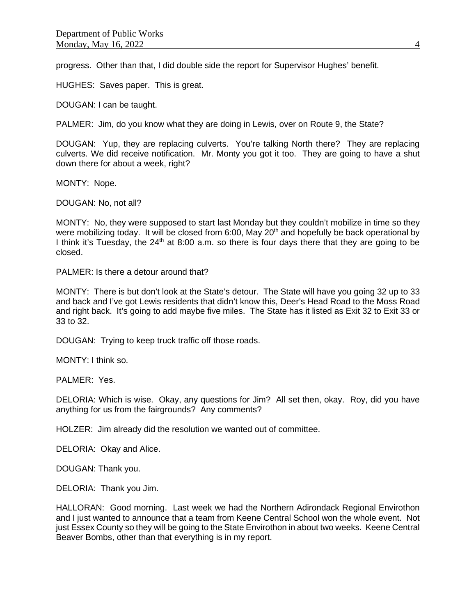progress. Other than that, I did double side the report for Supervisor Hughes' benefit.

HUGHES: Saves paper. This is great.

DOUGAN: I can be taught.

PALMER: Jim, do you know what they are doing in Lewis, over on Route 9, the State?

DOUGAN: Yup, they are replacing culverts. You're talking North there? They are replacing culverts. We did receive notification. Mr. Monty you got it too. They are going to have a shut down there for about a week, right?

MONTY: Nope.

DOUGAN: No, not all?

MONTY: No, they were supposed to start last Monday but they couldn't mobilize in time so they were mobilizing today. It will be closed from 6:00, May 20<sup>th</sup> and hopefully be back operational by I think it's Tuesday, the  $24<sup>th</sup>$  at 8:00 a.m. so there is four days there that they are going to be closed.

PALMER: Is there a detour around that?

MONTY: There is but don't look at the State's detour. The State will have you going 32 up to 33 and back and I've got Lewis residents that didn't know this, Deer's Head Road to the Moss Road and right back. It's going to add maybe five miles. The State has it listed as Exit 32 to Exit 33 or 33 to 32.

DOUGAN: Trying to keep truck traffic off those roads.

MONTY: I think so.

PALMER: Yes.

DELORIA: Which is wise. Okay, any questions for Jim? All set then, okay. Roy, did you have anything for us from the fairgrounds? Any comments?

HOLZER: Jim already did the resolution we wanted out of committee.

DELORIA: Okay and Alice.

DOUGAN: Thank you.

DELORIA: Thank you Jim.

HALLORAN: Good morning. Last week we had the Northern Adirondack Regional Envirothon and I just wanted to announce that a team from Keene Central School won the whole event. Not just Essex County so they will be going to the State Envirothon in about two weeks. Keene Central Beaver Bombs, other than that everything is in my report.